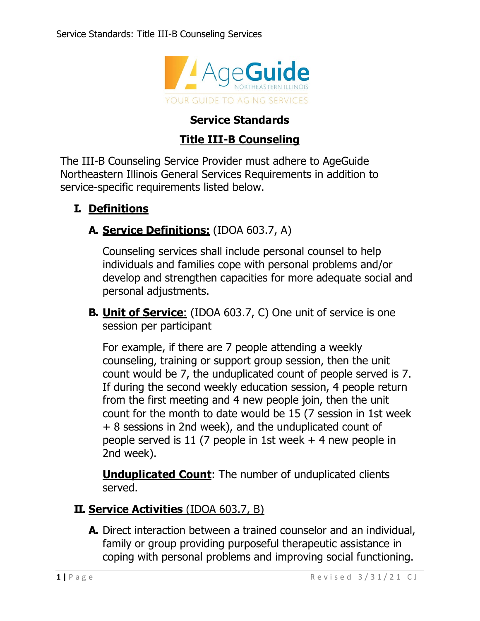

# **Service Standards**

## **Title III-B Counseling**

The III-B Counseling Service Provider must adhere to AgeGuide Northeastern Illinois General Services Requirements in addition to service-specific requirements listed below.

## **I. Definitions**

## **A. Service Definitions:** (IDOA 603.7, A)

Counseling services shall include personal counsel to help individuals and families cope with personal problems and/or develop and strengthen capacities for more adequate social and personal adjustments.

**B. Unit of Service**: (IDOA 603.7, C) One unit of service is one session per participant

For example, if there are 7 people attending a weekly counseling, training or support group session, then the unit count would be 7, the unduplicated count of people served is 7. If during the second weekly education session, 4 people return from the first meeting and 4 new people join, then the unit count for the month to date would be 15 (7 session in 1st week + 8 sessions in 2nd week), and the unduplicated count of people served is 11 (7 people in 1st week + 4 new people in 2nd week).

**Unduplicated Count:** The number of unduplicated clients served.

#### **II. Service Activities** (IDOA 603.7, B)

**A.** Direct interaction between a trained counselor and an individual, family or group providing purposeful therapeutic assistance in coping with personal problems and improving social functioning.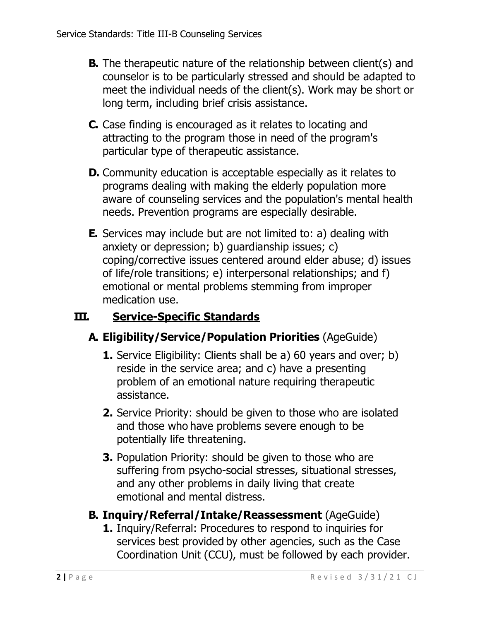- **B.** The therapeutic nature of the relationship between client(s) and counselor is to be particularly stressed and should be adapted to meet the individual needs of the client(s). Work may be short or long term, including brief crisis assistance.
- **C.** Case finding is encouraged as it relates to locating and attracting to the program those in need of the program's particular type of therapeutic assistance.
- **D.** Community education is acceptable especially as it relates to programs dealing with making the elderly population more aware of counseling services and the population's mental health needs. Prevention programs are especially desirable.
- **E.** Services may include but are not limited to: a) dealing with anxiety or depression; b) guardianship issues; c) coping/corrective issues centered around elder abuse; d) issues of life/role transitions; e) interpersonal relationships; and f) emotional or mental problems stemming from improper medication use.

# **III. Service-Specific Standards**

# **A. Eligibility/Service/Population Priorities** (AgeGuide)

- **1.** Service Eligibility: Clients shall be a) 60 years and over; b) reside in the service area; and c) have a presenting problem of an emotional nature requiring therapeutic assistance.
- **2.** Service Priority: should be given to those who are isolated and those who have problems severe enough to be potentially life threatening.
- **3.** Population Priority: should be given to those who are suffering from psycho-social stresses, situational stresses, and any other problems in daily living that create emotional and mental distress.

# **B. Inquiry/Referral/Intake/Reassessment** (AgeGuide)

**1.** Inquiry/Referral: Procedures to respond to inquiries for services best provided by other agencies, such as the Case Coordination Unit (CCU), must be followed by each provider.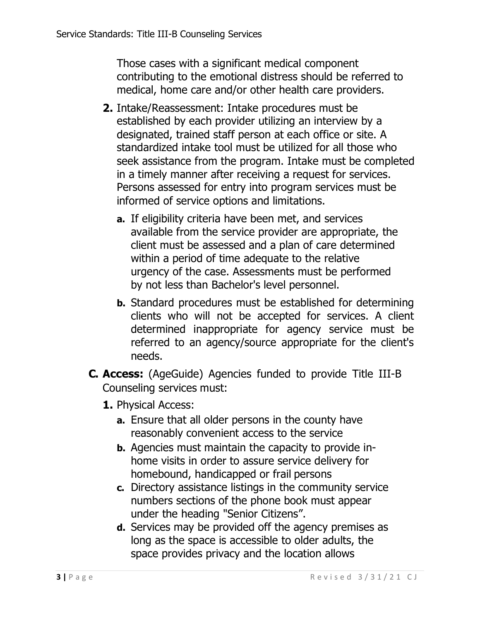Those cases with a significant medical component contributing to the emotional distress should be referred to medical, home care and/or other health care providers.

- **2.** Intake/Reassessment: Intake procedures must be established by each provider utilizing an interview by a designated, trained staff person at each office or site. A standardized intake tool must be utilized for all those who seek assistance from the program. Intake must be completed in a timely manner after receiving a request for services. Persons assessed for entry into program services must be informed of service options and limitations.
	- **a.** If eligibility criteria have been met, and services available from the service provider are appropriate, the client must be assessed and a plan of care determined within a period of time adequate to the relative urgency of the case. Assessments must be performed by not less than Bachelor's level personnel.
	- **b.** Standard procedures must be established for determining clients who will not be accepted for services. A client determined inappropriate for agency service must be referred to an agency/source appropriate for the client's needs.
- **C. Access:** (AgeGuide) Agencies funded to provide Title III-B Counseling services must:
	- **1.** Physical Access:
		- **a.** Ensure that all older persons in the county have reasonably convenient access to the service
		- **b.** Agencies must maintain the capacity to provide inhome visits in order to assure service delivery for homebound, handicapped or frail persons
		- **c.** Directory assistance listings in the community service numbers sections of the phone book must appear under the heading "Senior Citizens".
		- **d.** Services may be provided off the agency premises as long as the space is accessible to older adults, the space provides privacy and the location allows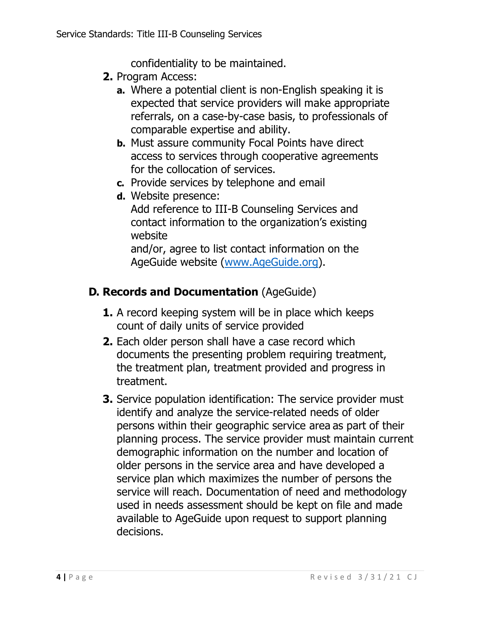confidentiality to be maintained.

- **2.** Program Access:
	- **a.** Where a potential client is non-English speaking it is expected that service providers will make appropriate referrals, on a case-by-case basis, to professionals of comparable expertise and ability.
	- **b.** Must assure community Focal Points have direct access to services through cooperative agreements for the collocation of services.
	- **c.** Provide services by telephone and email
	- **d.** Website presence:
		- Add reference to III-B Counseling Services and contact information to the organization's existing website

and/or, agree to list contact information on the AgeGuide website [\(www.AgeGuide.org\)](http://www.ageguide.org/).

# **D. Records and Documentation** (AgeGuide)

- **1.** A record keeping system will be in place which keeps count of daily units of service provided
- **2.** Each older person shall have a case record which documents the presenting problem requiring treatment, the treatment plan, treatment provided and progress in treatment.
- **3.** Service population identification: The service provider must identify and analyze the service-related needs of older persons within their geographic service area as part of their planning process. The service provider must maintain current demographic information on the number and location of older persons in the service area and have developed a service plan which maximizes the number of persons the service will reach. Documentation of need and methodology used in needs assessment should be kept on file and made available to AgeGuide upon request to support planning decisions.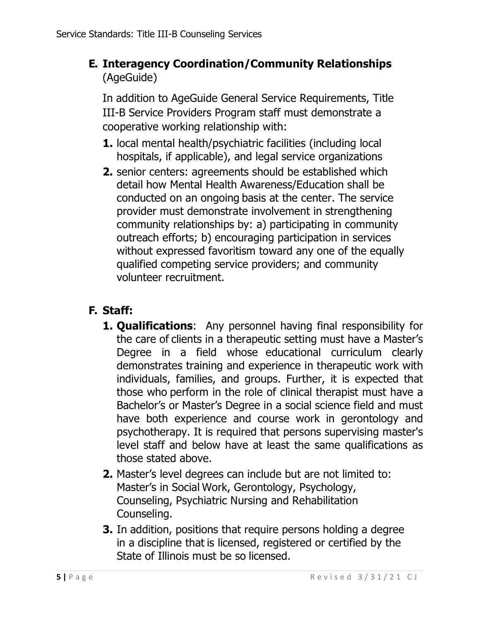**E. Interagency Coordination/Community Relationships**  (AgeGuide)

In addition to AgeGuide General Service Requirements, Title III-B Service Providers Program staff must demonstrate a cooperative working relationship with:

- **1.** local mental health/psychiatric facilities (including local hospitals, if applicable), and legal service organizations
- **2.** senior centers: agreements should be established which detail how Mental Health Awareness/Education shall be conducted on an ongoing basis at the center. The service provider must demonstrate involvement in strengthening community relationships by: a) participating in community outreach efforts; b) encouraging participation in services without expressed favoritism toward any one of the equally qualified competing service providers; and community volunteer recruitment.

## **F. Staff:**

- **1. Qualifications**: Any personnel having final responsibility for the care of clients in a therapeutic setting must have a Master's Degree in a field whose educational curriculum clearly demonstrates training and experience in therapeutic work with individuals, families, and groups. Further, it is expected that those who perform in the role of clinical therapist must have a Bachelor's or Master's Degree in a social science field and must have both experience and course work in gerontology and psychotherapy. It is required that persons supervising master's level staff and below have at least the same qualifications as those stated above.
- **2.** Master's level degrees can include but are not limited to: Master's in Social Work, Gerontology, Psychology, Counseling, Psychiatric Nursing and Rehabilitation Counseling.
- **3.** In addition, positions that require persons holding a degree in a discipline that is licensed, registered or certified by the State of Illinois must be so licensed.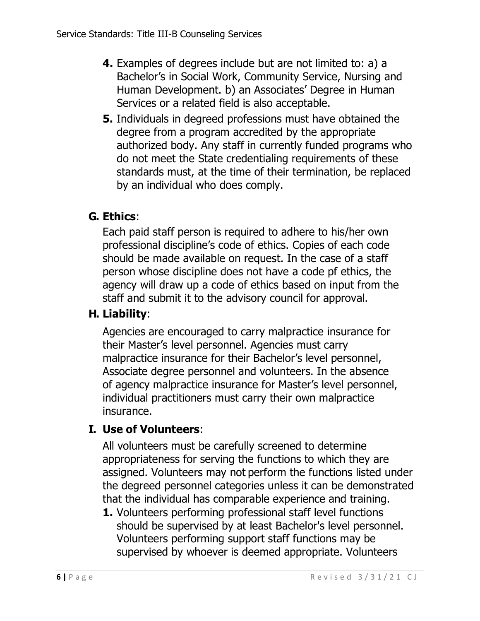- **4.** Examples of degrees include but are not limited to: a) a Bachelor's in Social Work, Community Service, Nursing and Human Development. b) an Associates' Degree in Human Services or a related field is also acceptable.
- **5.** Individuals in degreed professions must have obtained the degree from a program accredited by the appropriate authorized body. Any staff in currently funded programs who do not meet the State credentialing requirements of these standards must, at the time of their termination, be replaced by an individual who does comply.

# **G. Ethics**:

Each paid staff person is required to adhere to his/her own professional discipline's code of ethics. Copies of each code should be made available on request. In the case of a staff person whose discipline does not have a code pf ethics, the agency will draw up a code of ethics based on input from the staff and submit it to the advisory council for approval.

# **H. Liability**:

Agencies are encouraged to carry malpractice insurance for their Master's level personnel. Agencies must carry malpractice insurance for their Bachelor's level personnel, Associate degree personnel and volunteers. In the absence of agency malpractice insurance for Master's level personnel, individual practitioners must carry their own malpractice insurance.

## **I. Use of Volunteers**:

All volunteers must be carefully screened to determine appropriateness for serving the functions to which they are assigned. Volunteers may not perform the functions listed under the degreed personnel categories unless it can be demonstrated that the individual has comparable experience and training.

**1.** Volunteers performing professional staff level functions should be supervised by at least Bachelor's level personnel. Volunteers performing support staff functions may be supervised by whoever is deemed appropriate. Volunteers